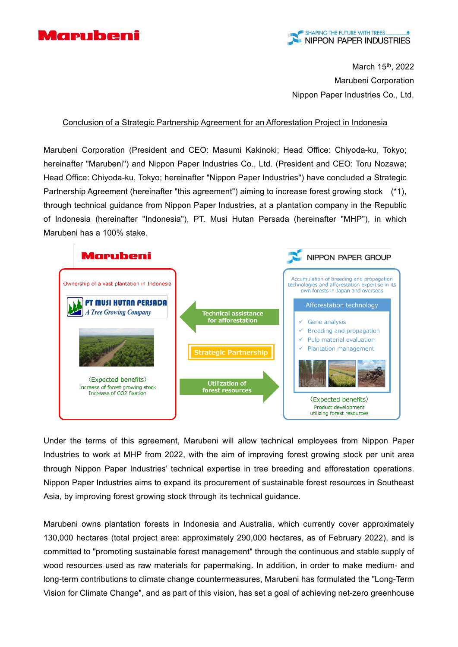

March 15<sup>th</sup>, 2022 Marubeni Corporation Nippon Paper Industries Co., Ltd.

Conclusion of a Strategic Partnership Agreement for an Afforestation Project in Indonesia

Marubeni Corporation (President and CEO: Masumi Kakinoki; Head Office: Chiyoda-ku, Tokyo; hereinafter "Marubeni") and Nippon Paper Industries Co., Ltd. (President and CEO: Toru Nozawa; Head Office: Chiyoda-ku, Tokyo; hereinafter "Nippon Paper Industries") have concluded a Strategic Partnership Agreement (hereinafter "this agreement") aiming to increase forest growing stock (\*1), through technical guidance from Nippon Paper Industries, at a plantation company in the Republic of Indonesia (hereinafter "Indonesia"), PT. Musi Hutan Persada (hereinafter "MHP"), in which Marubeni has a 100% stake.



Under the terms of this agreement, Marubeni will allow technical employees from Nippon Paper Industries to work at MHP from 2022, with the aim of improving forest growing stock per unit area through Nippon Paper Industries' technical expertise in tree breeding and afforestation operations. Nippon Paper Industries aims to expand its procurement of sustainable forest resources in Southeast Asia, by improving forest growing stock through its technical guidance.

Marubeni owns plantation forests in Indonesia and Australia, which currently cover approximately 130,000 hectares (total project area: approximately 290,000 hectares, as of February 2022), and is committed to "promoting sustainable forest management" through the continuous and stable supply of wood resources used as raw materials for papermaking. In addition, in order to make medium- and long-term contributions to climate change countermeasures, Marubeni has formulated the "Long-Term Vision for Climate Change", and as part of this vision, has set a goal of achieving net-zero greenhouse